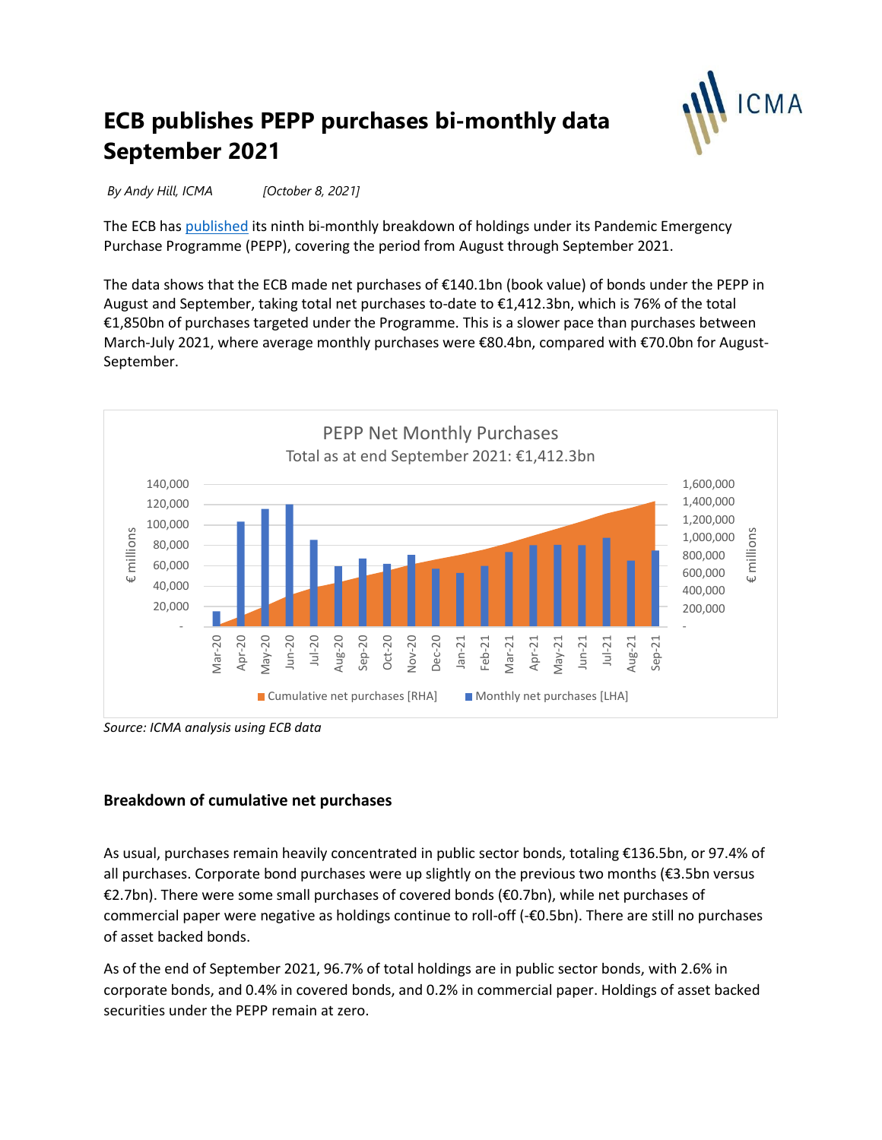

# **ECB publishes PEPP purchases bi-monthly data September 2021**

*By Andy Hill, ICMA [October 8, 2021]*

The ECB ha[s published](https://www.ecb.europa.eu/mopo/implement/pepp/html/index.en.html) its ninth bi-monthly breakdown of holdings under its Pandemic Emergency Purchase Programme (PEPP), covering the period from August through September 2021.

The data shows that the ECB made net purchases of €140.1bn (book value) of bonds under the PEPP in August and September, taking total net purchases to-date to €1,412.3bn, which is 76% of the total €1,850bn of purchases targeted under the Programme. This is a slower pace than purchases between March-July 2021, where average monthly purchases were €80.4bn, compared with €70.0bn for August-September.



*Source: ICMA analysis using ECB data*

#### **Breakdown of cumulative net purchases**

As usual, purchases remain heavily concentrated in public sector bonds, totaling €136.5bn, or 97.4% of all purchases. Corporate bond purchases were up slightly on the previous two months (€3.5bn versus €2.7bn). There were some small purchases of covered bonds (€0.7bn), while net purchases of commercial paper were negative as holdings continue to roll-off (-€0.5bn). There are still no purchases of asset backed bonds.

As of the end of September 2021, 96.7% of total holdings are in public sector bonds, with 2.6% in corporate bonds, and 0.4% in covered bonds, and 0.2% in commercial paper. Holdings of asset backed securities under the PEPP remain at zero.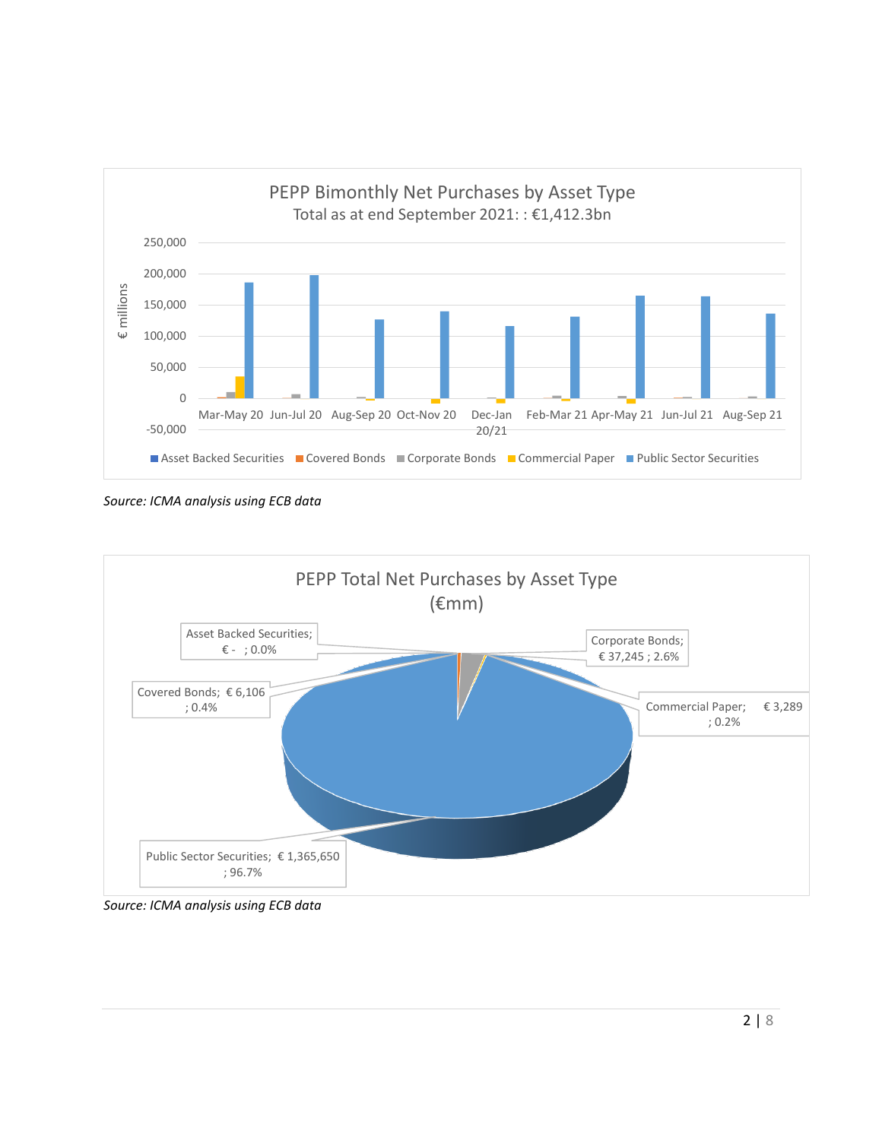

*Source: ICMA analysis using ECB data*



*Source: ICMA analysis using ECB data*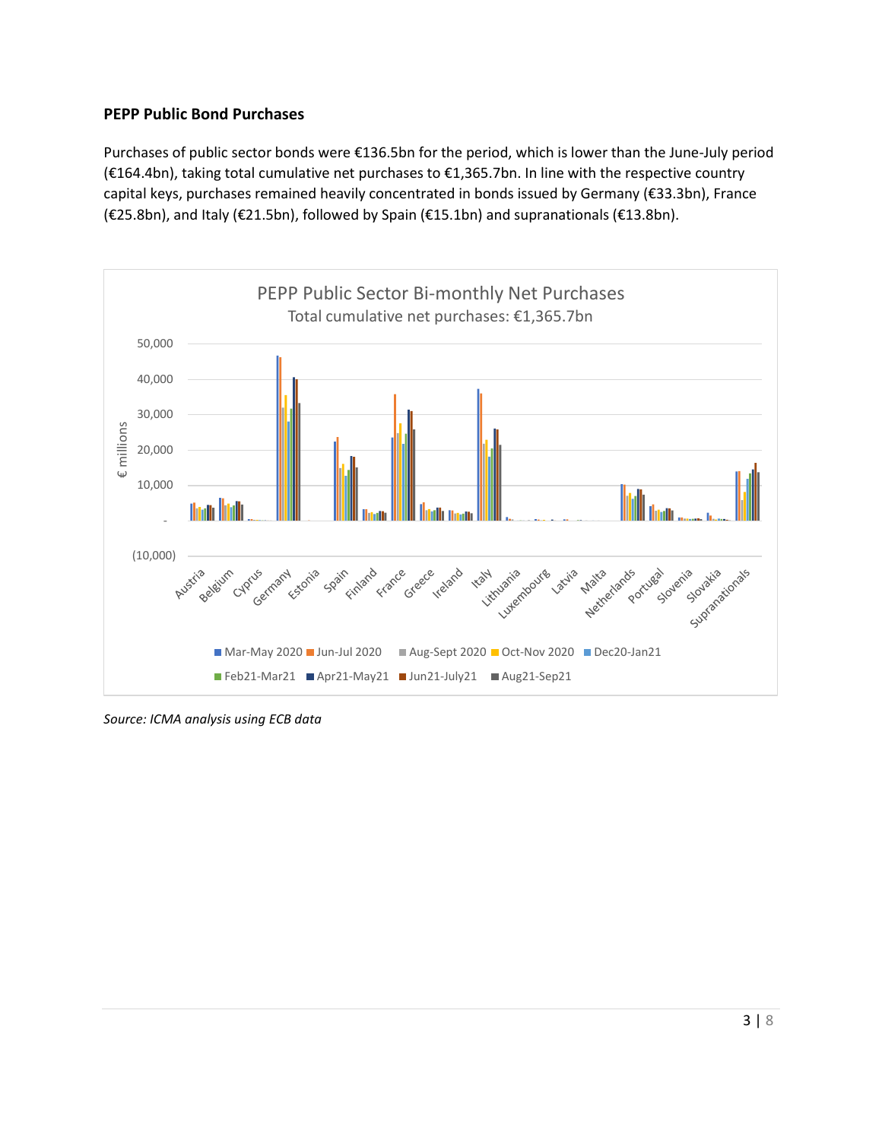## **PEPP Public Bond Purchases**

Purchases of public sector bonds were €136.5bn for the period, which is lower than the June-July period (€164.4bn), taking total cumulative net purchases to €1,365.7bn. In line with the respective country capital keys, purchases remained heavily concentrated in bonds issued by Germany (€33.3bn), France (€25.8bn), and Italy (€21.5bn), followed by Spain (€15.1bn) and supranationals (€13.8bn).



*Source: ICMA analysis using ECB data*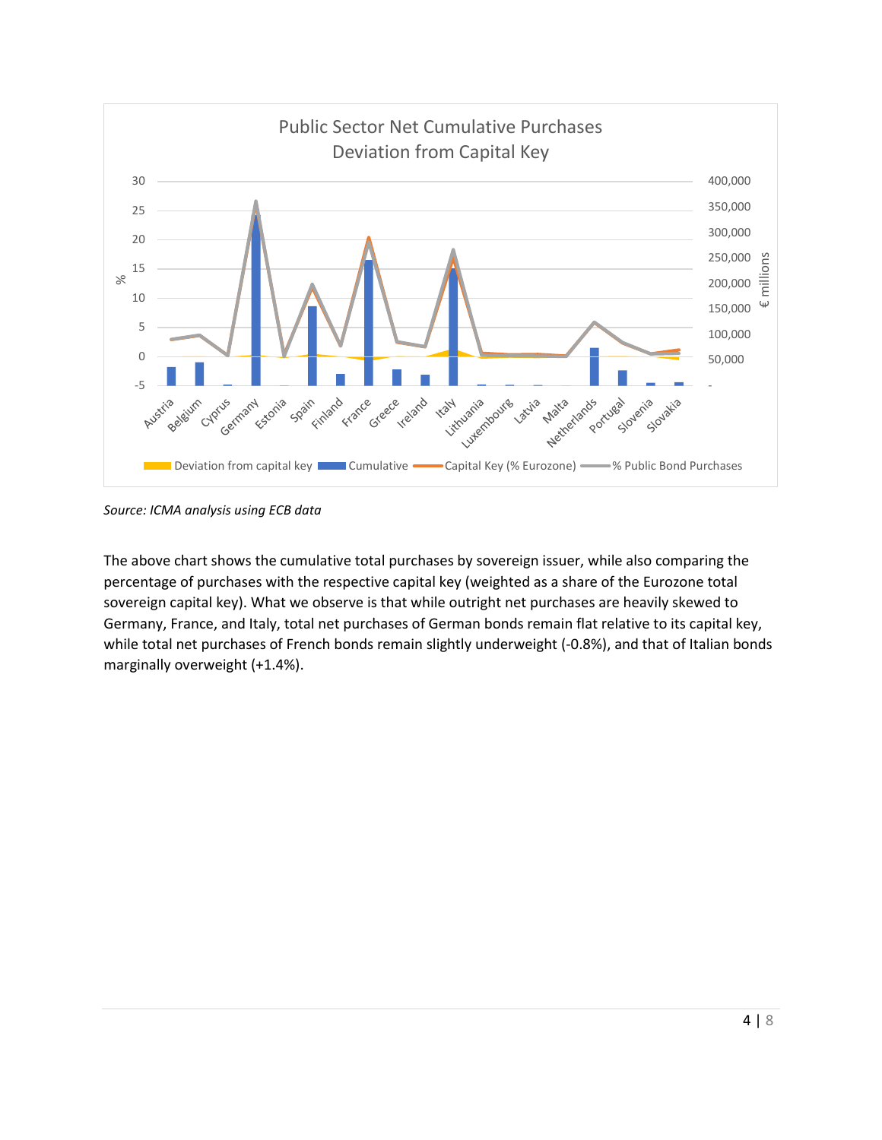

*Source: ICMA analysis using ECB data*

The above chart shows the cumulative total purchases by sovereign issuer, while also comparing the percentage of purchases with the respective capital key (weighted as a share of the Eurozone total sovereign capital key). What we observe is that while outright net purchases are heavily skewed to Germany, France, and Italy, total net purchases of German bonds remain flat relative to its capital key, while total net purchases of French bonds remain slightly underweight (-0.8%), and that of Italian bonds marginally overweight (+1.4%).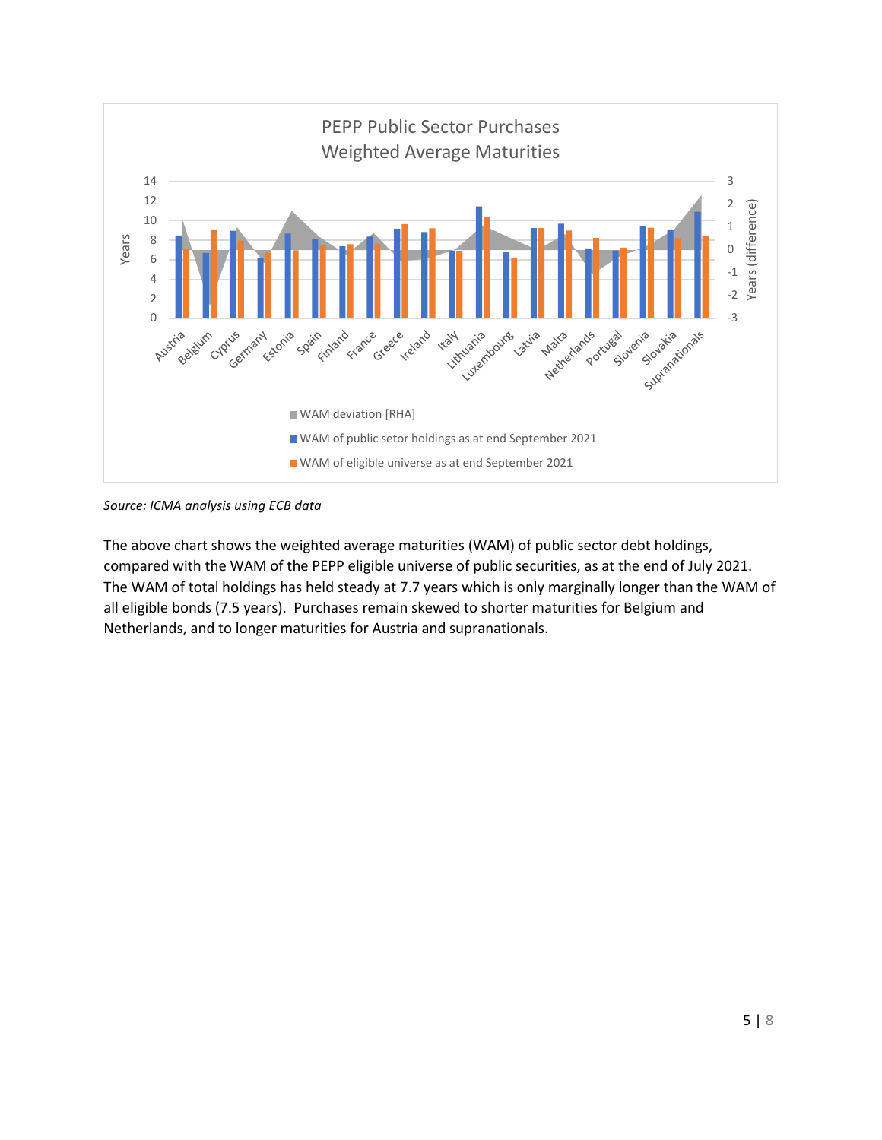



The above chart shows the weighted average maturities (WAM) of public sector debt holdings, compared with the WAM of the PEPP eligible universe of public securities, as at the end of July 2021. The WAM of total holdings has held steady at 7.7 years which is only marginally longer than the WAM of all eligible bonds (7.5 years). Purchases remain skewed to shorter maturities for Belgium and Netherlands, and to longer maturities for Austria and supranationals.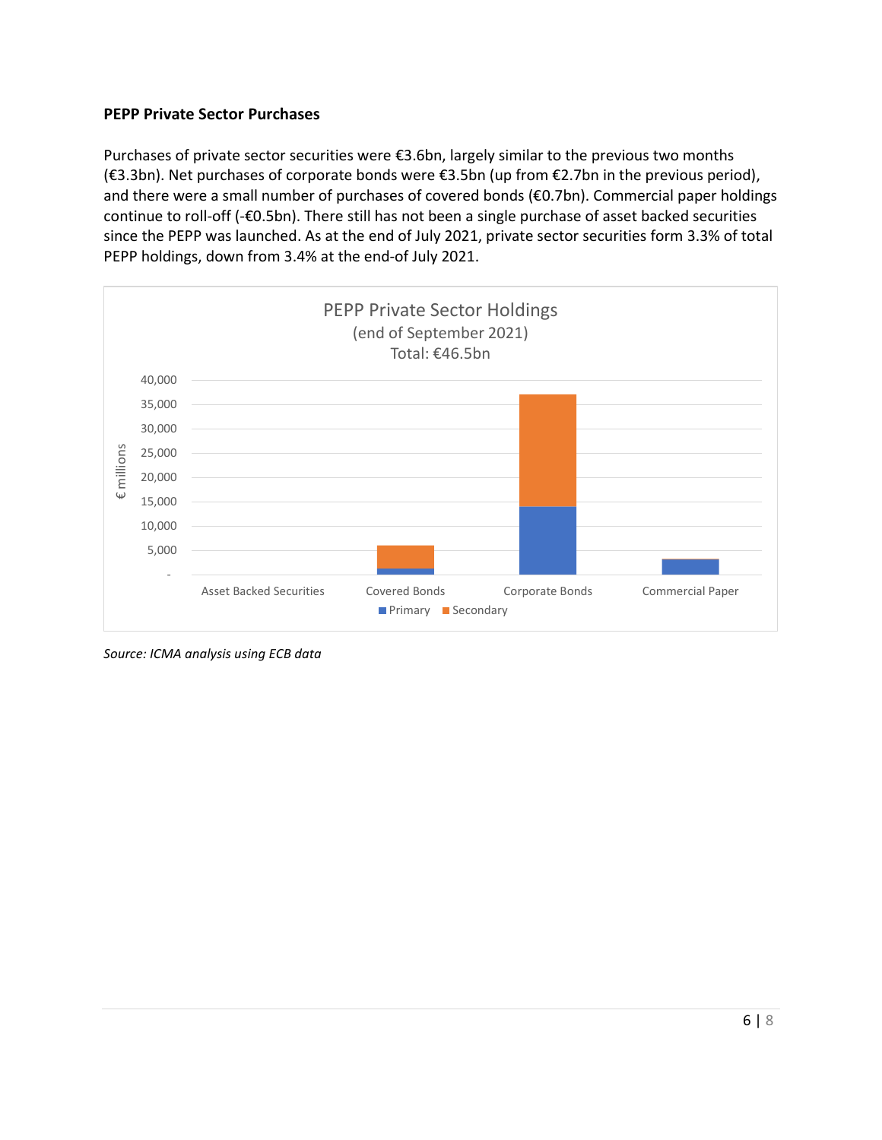## **PEPP Private Sector Purchases**

Purchases of private sector securities were €3.6bn, largely similar to the previous two months (€3.3bn). Net purchases of corporate bonds were €3.5bn (up from €2.7bn in the previous period), and there were a small number of purchases of covered bonds (€0.7bn). Commercial paper holdings continue to roll-off (-€0.5bn). There still has not been a single purchase of asset backed securities since the PEPP was launched. As at the end of July 2021, private sector securities form 3.3% of total PEPP holdings, down from 3.4% at the end-of July 2021.



*Source: ICMA analysis using ECB data*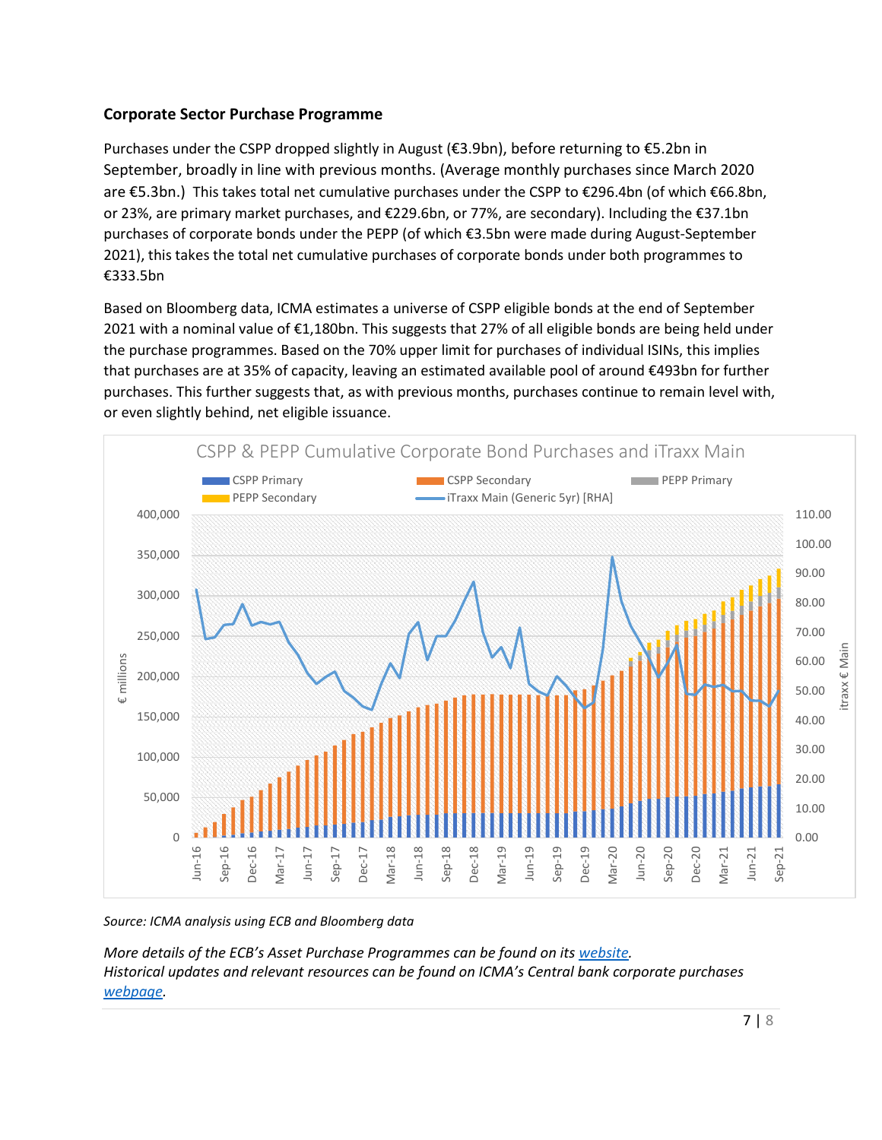### **Corporate Sector Purchase Programme**

Purchases under the CSPP dropped slightly in August (€3.9bn), before returning to €5.2bn in September, broadly in line with previous months. (Average monthly purchases since March 2020 are €5.3bn.) This takes total net cumulative purchases under the CSPP to €296.4bn (of which €66.8bn, or 23%, are primary market purchases, and €229.6bn, or 77%, are secondary). Including the €37.1bn purchases of corporate bonds under the PEPP (of which €3.5bn were made during August-September 2021), this takes the total net cumulative purchases of corporate bonds under both programmes to €333.5bn

Based on Bloomberg data, ICMA estimates a universe of CSPP eligible bonds at the end of September 2021 with a nominal value of €1,180bn. This suggests that 27% of all eligible bonds are being held under the purchase programmes. Based on the 70% upper limit for purchases of individual ISINs, this implies that purchases are at 35% of capacity, leaving an estimated available pool of around €493bn for further purchases. This further suggests that, as with previous months, purchases continue to remain level with, or even slightly behind, net eligible issuance.



*Source: ICMA analysis using ECB and Bloomberg data*

*More details of the ECB's Asset Purchase Programmes can be found on its [website.](https://www.ecb.europa.eu/mopo/implement/app/html/index.en.html#cspp) Historical updates and relevant resources can be found on ICMA's Central bank corporate purchases [webpage.](https://www.icmagroup.org/Regulatory-Policy-and-Market-Practice/Secondary-Markets/central-bank-corporate-bond-purchase-programs/)*